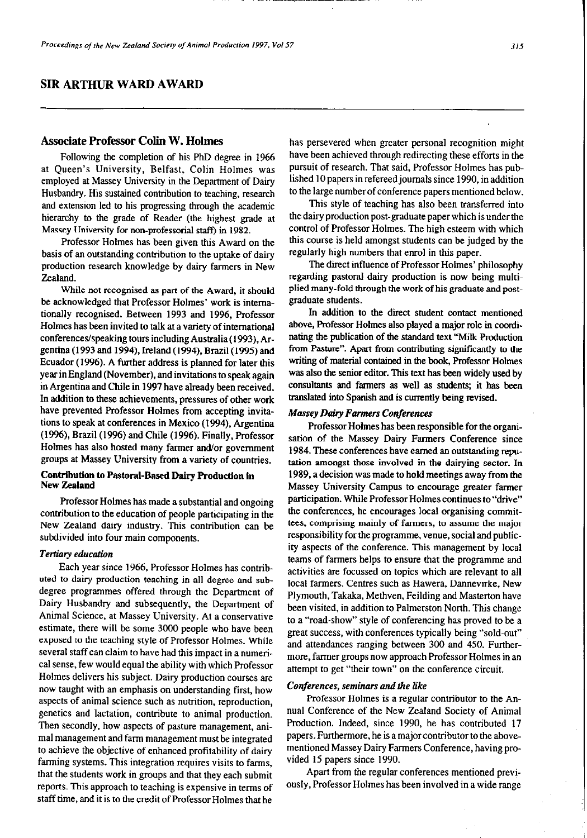# **SIR ARTHUR WARD AWARD**

# **Associate** Professor Colin W. Holmes

Following the completion of his PhD degree in 1966 at Queen's University, Belfast, Colin Holmes was employed at Massey University in the Department of Dairy Husbandry. His sustained contribution to teaching, research and extension led to his progressing through the academic hierarchy to the grade of Reader (the highest grade at Massey University for non-professorial staff) in 1982.

Professor Holmes has been given this Award on the basis of an outstanding contribution to the uptake of dairy production research knowledge by dairy farmers in New Zealand.

While not recognised as part of the Award, it should be acknowledged that Professor Holmes' work is intemationally recognised. Between 1993 and 1996, Professor Holmes has been invited to talk at a variety of international conferences/speaking tours includingAustralia(1993). Argentina (1993 and 1994), Ireland (1994), Brazil (1995) and Ecuador (1996). A further address is planned for later this year in England (November), and invitations to speak again in Argentina and Chile in 1997 have already been received. In addition to these achievements, pressures of other work have prevented Professor Holmes from accepting invitations to speak at conferences in Mexico (1994). Argentina (1996), Brazil (1996) and Chile (1996). Finally, Professor Holmes has also hosted many farmer and/or government groups at Massey University from a variety of countries.

## Contribution to Pastoral-Based Dairy Production in New Zealand

Professor Holmes has made a substantial and ongoing contribution to the education of people participating in the New Zealand dairy industry. This contribution can be subdivided into four main components.

#### *Tertiary education*

Each year since 1966. Professor Holmes has contributed to dairy production teaching in all degree and subdegree programmes offered through the Department of Dairy Husbandry and subsequently, the Department of Animal Science, at Massey University. At a conservative estimate, there will be some 3000 people who have been exposed to the teaching style of Professor Holmes. While several staff can claim to have had this impact in a numerical sense, few would equal the ability with which Professor Holmes delivers his subject. Dairy production courses are now taught with an emphasis on understanding first, how aspects of animal science such as nutrition, reproduction, genetics and lactation, contribute to animal production. Then secondly. how aspects of pasture management, animal management and farm management must be integrated to achieve the objective of enhanced profitability of dairy farming systems. This integration requires visits to farms, that the students work in groups and that they each submit reports. This approach to teaching is expensive in terms of staff time, and it is to the credit of Professor Holmes that he

has persevered when greater personal recognition might have been achieved through redirecting these efforts in the pursuit of research. That said, Professor Holmes has published 10 papers in refereed journals since 1990, in addition to the large **number of** conference papers mentioned below.

This style of teaching has also been transferred into the dairy production post-graduate paper which is under the control of Professor Holmes. The high esteem with which this course is held amongst students can be judged by the regularly high numbers that enrol in this paper.

The direct influence of Professor Holmes' philosophy regarding pastoral dairy production is now being multiplied many-fold through the work of his graduate and postgraduate students.

In addition to the direct student contact mentioned above, Professor Holmes also played a major role in coordinating the publication of the standard text "Milk Production" from Pasture". Apart from contributing significantly to the writing of material contained in the book, Professor Holmes was also the senior editor. This text has been widely used by consultants and farmers as well as students; it has been translated into Spanish and is currently being revised.

#### Massey *Dairy Farmers Conferences*

Professor **Holmes** has been responsible for the organisation of the Massey Dairy Farmers Conference since 1984. These conferences have earned an outstanding reputation amongst those involved in the dairying sector. In 1989, a decision was made to hold meetings away from the Massey University Campus to encourage greater farmer participation. While Professor Holmes continues to "drive" the conferences, he encourages local organising committees, comprising mainly of farmers, to assume the major responsibility for the programme. venue, social and publicity aspects of the conference. This management by local teams of farmers helps to ensure that the programme and activities are focussed on topics which are relevant to all local farmers. Centres such as Hawera, Dannevirke, New Plymouth, Takaka, Methven, Feilding and Masterton have been visited, in addition to Palmerston North. This change to a "road-show" style of conferencing has proved to be a great success, with conferences typically being "sold-out" and attendances ranging between 300 and 450. Furthermore., farmer groups now approach Professor Holmes in an attempt to get "their town" on the conference circuit.

#### Conferences, seminars and the like

Professor Holmes is a regular contributor to the Annual Conference of the New Zealand Society of Animal Production. Indeed, since 1990, he has contributed I7 papers. Funhermore, he is a major contributor to the abovementioned Massey Dairy Farmers Conference, having provided IS papers since 1990.

Apart from the regular conferences mentioned previously, Professor **Holmes** has been involved in a wide range